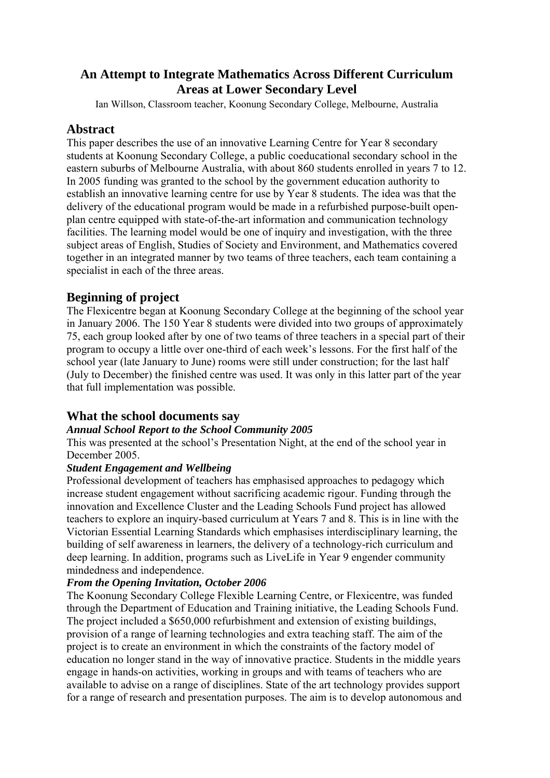# **An Attempt to Integrate Mathematics Across Different Curriculum Areas at Lower Secondary Level**

Ian Willson, Classroom teacher, Koonung Secondary College, Melbourne, Australia

# **Abstract**

This paper describes the use of an innovative Learning Centre for Year 8 secondary students at Koonung Secondary College, a public coeducational secondary school in the eastern suburbs of Melbourne Australia, with about 860 students enrolled in years 7 to 12. In 2005 funding was granted to the school by the government education authority to establish an innovative learning centre for use by Year 8 students. The idea was that the delivery of the educational program would be made in a refurbished purpose-built openplan centre equipped with state-of-the-art information and communication technology facilities. The learning model would be one of inquiry and investigation, with the three subject areas of English, Studies of Society and Environment, and Mathematics covered together in an integrated manner by two teams of three teachers, each team containing a specialist in each of the three areas.

# **Beginning of project**

The Flexicentre began at Koonung Secondary College at the beginning of the school year in January 2006. The 150 Year 8 students were divided into two groups of approximately 75, each group looked after by one of two teams of three teachers in a special part of their program to occupy a little over one-third of each week's lessons. For the first half of the school year (late January to June) rooms were still under construction; for the last half (July to December) the finished centre was used. It was only in this latter part of the year that full implementation was possible.

# **What the school documents say**

## *Annual School Report to the School Community 2005*

This was presented at the school's Presentation Night, at the end of the school year in December 2005.

## *Student Engagement and Wellbeing*

Professional development of teachers has emphasised approaches to pedagogy which increase student engagement without sacrificing academic rigour. Funding through the innovation and Excellence Cluster and the Leading Schools Fund project has allowed teachers to explore an inquiry-based curriculum at Years 7 and 8. This is in line with the Victorian Essential Learning Standards which emphasises interdisciplinary learning, the building of self awareness in learners, the delivery of a technology-rich curriculum and deep learning. In addition, programs such as LiveLife in Year 9 engender community mindedness and independence.

# *From the Opening Invitation, October 2006*

The Koonung Secondary College Flexible Learning Centre, or Flexicentre, was funded through the Department of Education and Training initiative, the Leading Schools Fund. The project included a \$650,000 refurbishment and extension of existing buildings, provision of a range of learning technologies and extra teaching staff. The aim of the project is to create an environment in which the constraints of the factory model of education no longer stand in the way of innovative practice. Students in the middle years engage in hands-on activities, working in groups and with teams of teachers who are available to advise on a range of disciplines. State of the art technology provides support for a range of research and presentation purposes. The aim is to develop autonomous and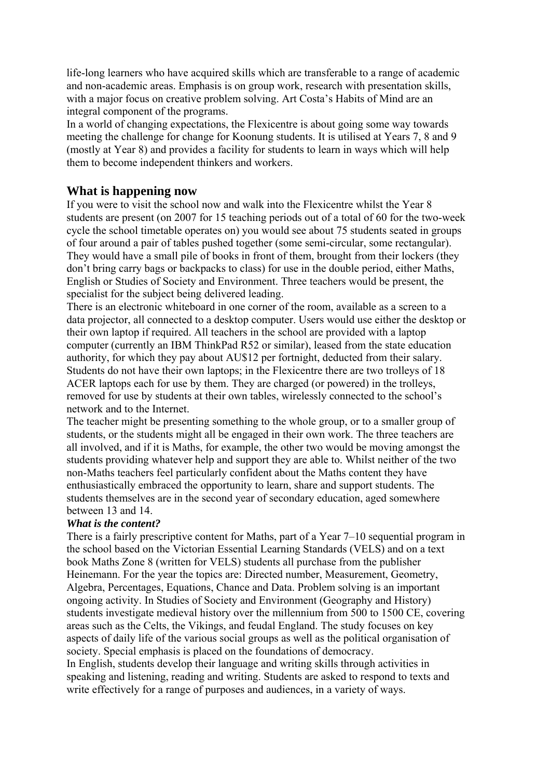life-long learners who have acquired skills which are transferable to a range of academic and non-academic areas. Emphasis is on group work, research with presentation skills, with a major focus on creative problem solving. Art Costa's Habits of Mind are an integral component of the programs.

In a world of changing expectations, the Flexicentre is about going some way towards meeting the challenge for change for Koonung students. It is utilised at Years 7, 8 and 9 (mostly at Year 8) and provides a facility for students to learn in ways which will help them to become independent thinkers and workers.

## **What is happening now**

If you were to visit the school now and walk into the Flexicentre whilst the Year 8 students are present (on 2007 for 15 teaching periods out of a total of 60 for the two-week cycle the school timetable operates on) you would see about 75 students seated in groups of four around a pair of tables pushed together (some semi-circular, some rectangular). They would have a small pile of books in front of them, brought from their lockers (they don't bring carry bags or backpacks to class) for use in the double period, either Maths, English or Studies of Society and Environment. Three teachers would be present, the specialist for the subject being delivered leading.

There is an electronic whiteboard in one corner of the room, available as a screen to a data projector, all connected to a desktop computer. Users would use either the desktop or their own laptop if required. All teachers in the school are provided with a laptop computer (currently an IBM ThinkPad R52 or similar), leased from the state education authority, for which they pay about AU\$12 per fortnight, deducted from their salary. Students do not have their own laptops; in the Flexicentre there are two trolleys of 18 ACER laptops each for use by them. They are charged (or powered) in the trolleys, removed for use by students at their own tables, wirelessly connected to the school's network and to the Internet.

The teacher might be presenting something to the whole group, or to a smaller group of students, or the students might all be engaged in their own work. The three teachers are all involved, and if it is Maths, for example, the other two would be moving amongst the students providing whatever help and support they are able to. Whilst neither of the two non-Maths teachers feel particularly confident about the Maths content they have enthusiastically embraced the opportunity to learn, share and support students. The students themselves are in the second year of secondary education, aged somewhere between 13 and 14.

## *What is the content?*

There is a fairly prescriptive content for Maths, part of a Year 7–10 sequential program in the school based on the Victorian Essential Learning Standards (VELS) and on a text book Maths Zone 8 (written for VELS) students all purchase from the publisher Heinemann. For the year the topics are: Directed number, Measurement, Geometry, Algebra, Percentages, Equations, Chance and Data. Problem solving is an important ongoing activity. In Studies of Society and Environment (Geography and History) students investigate medieval history over the millennium from 500 to 1500 CE, covering areas such as the Celts, the Vikings, and feudal England. The study focuses on key aspects of daily life of the various social groups as well as the political organisation of society. Special emphasis is placed on the foundations of democracy.

In English, students develop their language and writing skills through activities in speaking and listening, reading and writing. Students are asked to respond to texts and write effectively for a range of purposes and audiences, in a variety of ways.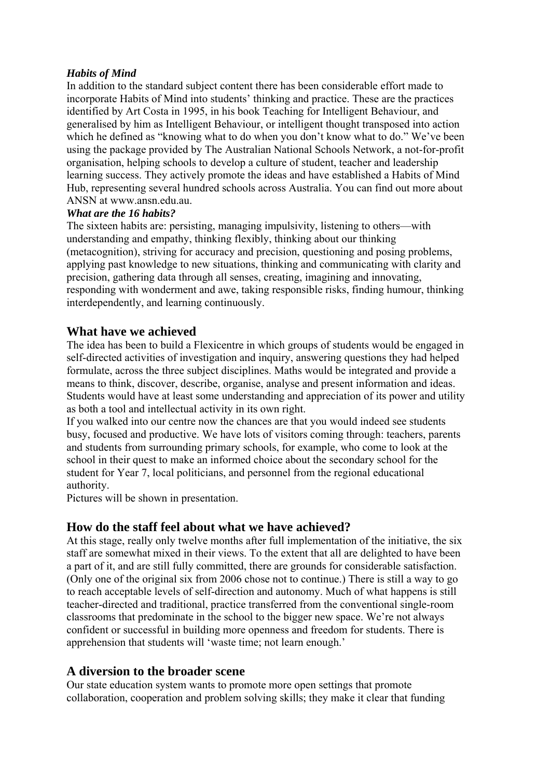## *Habits of Mind*

In addition to the standard subject content there has been considerable effort made to incorporate Habits of Mind into students' thinking and practice. These are the practices identified by Art Costa in 1995, in his book Teaching for Intelligent Behaviour, and generalised by him as Intelligent Behaviour, or intelligent thought transposed into action which he defined as "knowing what to do when you don't know what to do." We've been using the package provided by The Australian National Schools Network, a not-for-profit organisation, helping schools to develop a culture of student, teacher and leadership learning success. They actively promote the ideas and have established a Habits of Mind Hub, representing several hundred schools across Australia. You can find out more about ANSN at www.ansn.edu.au.

## *What are the 16 habits?*

The sixteen habits are: persisting, managing impulsivity, listening to others—with understanding and empathy, thinking flexibly, thinking about our thinking (metacognition), striving for accuracy and precision, questioning and posing problems, applying past knowledge to new situations, thinking and communicating with clarity and precision, gathering data through all senses, creating, imagining and innovating, responding with wonderment and awe, taking responsible risks, finding humour, thinking interdependently, and learning continuously.

# **What have we achieved**

The idea has been to build a Flexicentre in which groups of students would be engaged in self-directed activities of investigation and inquiry, answering questions they had helped formulate, across the three subject disciplines. Maths would be integrated and provide a means to think, discover, describe, organise, analyse and present information and ideas. Students would have at least some understanding and appreciation of its power and utility as both a tool and intellectual activity in its own right.

If you walked into our centre now the chances are that you would indeed see students busy, focused and productive. We have lots of visitors coming through: teachers, parents and students from surrounding primary schools, for example, who come to look at the school in their quest to make an informed choice about the secondary school for the student for Year 7, local politicians, and personnel from the regional educational authority.

Pictures will be shown in presentation.

# **How do the staff feel about what we have achieved?**

At this stage, really only twelve months after full implementation of the initiative, the six staff are somewhat mixed in their views. To the extent that all are delighted to have been a part of it, and are still fully committed, there are grounds for considerable satisfaction. (Only one of the original six from 2006 chose not to continue.) There is still a way to go to reach acceptable levels of self-direction and autonomy. Much of what happens is still teacher-directed and traditional, practice transferred from the conventional single-room classrooms that predominate in the school to the bigger new space. We're not always confident or successful in building more openness and freedom for students. There is apprehension that students will 'waste time; not learn enough.'

# **A diversion to the broader scene**

Our state education system wants to promote more open settings that promote collaboration, cooperation and problem solving skills; they make it clear that funding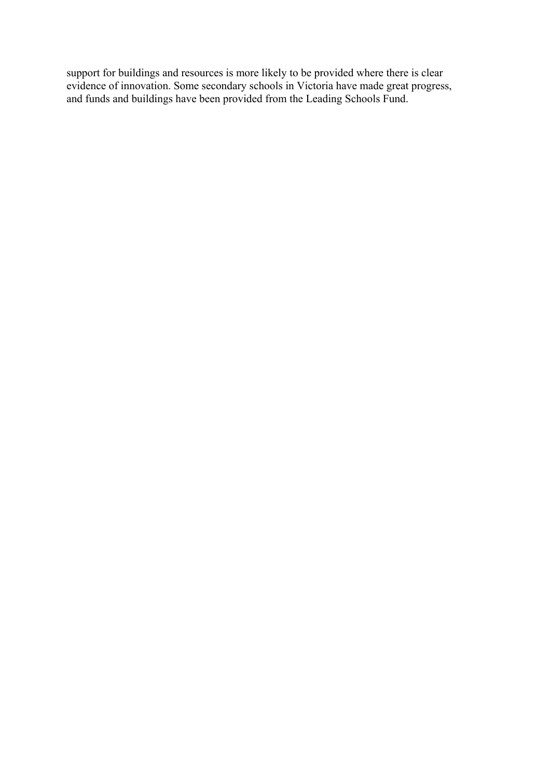support for buildings and resources is more likely to be provided where there is clear evidence of innovation. Some secondary schools in Victoria have made great progress, and funds and buildings have been provided from the Leading Schools Fund.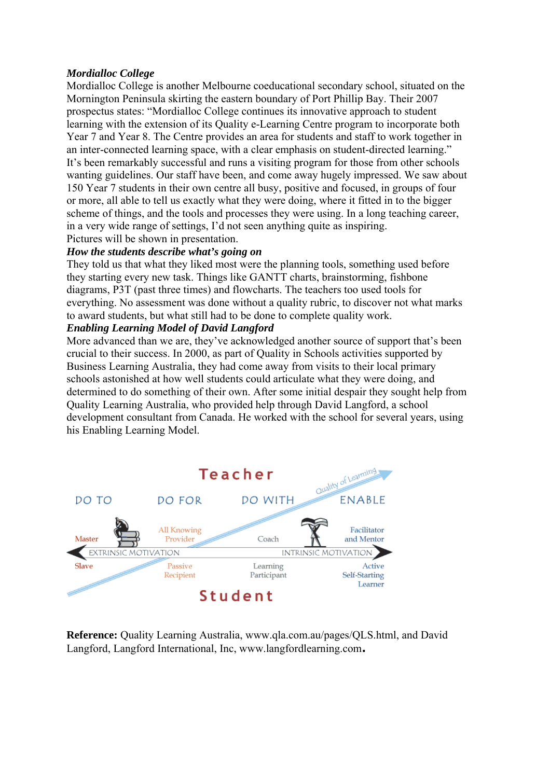### *Mordialloc College*

Mordialloc College is another Melbourne coeducational secondary school, situated on the Mornington Peninsula skirting the eastern boundary of Port Phillip Bay. Their 2007 prospectus states: "Mordialloc College continues its innovative approach to student learning with the extension of its Quality e-Learning Centre program to incorporate both Year 7 and Year 8. The Centre provides an area for students and staff to work together in an inter-connected learning space, with a clear emphasis on student-directed learning." It's been remarkably successful and runs a visiting program for those from other schools wanting guidelines. Our staff have been, and come away hugely impressed. We saw about 150 Year 7 students in their own centre all busy, positive and focused, in groups of four or more, all able to tell us exactly what they were doing, where it fitted in to the bigger scheme of things, and the tools and processes they were using. In a long teaching career, in a very wide range of settings, I'd not seen anything quite as inspiring. Pictures will be shown in presentation.

### *How the students describe what's going on*

They told us that what they liked most were the planning tools, something used before they starting every new task. Things like GANTT charts, brainstorming, fishbone diagrams, P3T (past three times) and flowcharts. The teachers too used tools for everything. No assessment was done without a quality rubric, to discover not what marks to award students, but what still had to be done to complete quality work.

#### *Enabling Learning Model of David Langford*

More advanced than we are, they've acknowledged another source of support that's been crucial to their success. In 2000, as part of Quality in Schools activities supported by Business Learning Australia, they had come away from visits to their local primary schools astonished at how well students could articulate what they were doing, and determined to do something of their own. After some initial despair they sought help from Quality Learning Australia, who provided help through David Langford, a school development consultant from Canada. He worked with the school for several years, using his Enabling Learning Model.



**Reference:** Quality Learning Australia, www.qla.com.au/pages/QLS.html, and David Langford, Langford International, Inc, www.langfordlearning.com**.**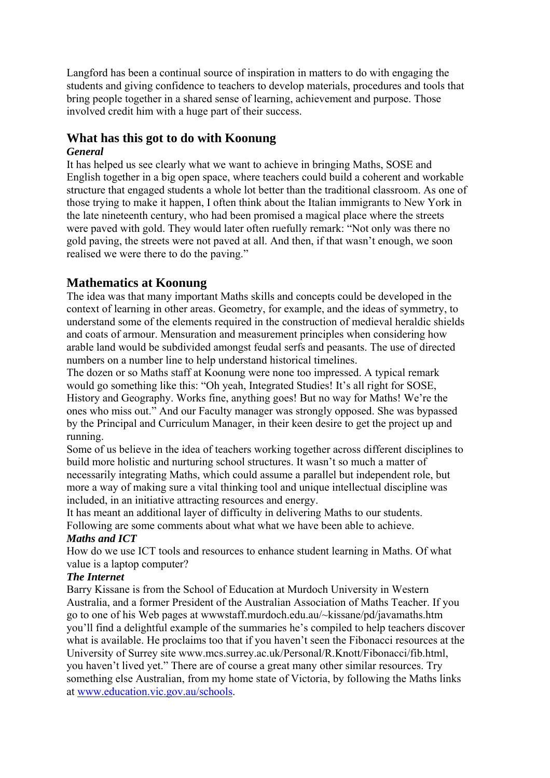Langford has been a continual source of inspiration in matters to do with engaging the students and giving confidence to teachers to develop materials, procedures and tools that bring people together in a shared sense of learning, achievement and purpose. Those involved credit him with a huge part of their success.

# **What has this got to do with Koonung**

## *General*

It has helped us see clearly what we want to achieve in bringing Maths, SOSE and English together in a big open space, where teachers could build a coherent and workable structure that engaged students a whole lot better than the traditional classroom. As one of those trying to make it happen, I often think about the Italian immigrants to New York in the late nineteenth century, who had been promised a magical place where the streets were paved with gold. They would later often ruefully remark: "Not only was there no gold paving, the streets were not paved at all. And then, if that wasn't enough, we soon realised we were there to do the paving."

# **Mathematics at Koonung**

The idea was that many important Maths skills and concepts could be developed in the context of learning in other areas. Geometry, for example, and the ideas of symmetry, to understand some of the elements required in the construction of medieval heraldic shields and coats of armour. Mensuration and measurement principles when considering how arable land would be subdivided amongst feudal serfs and peasants. The use of directed numbers on a number line to help understand historical timelines.

The dozen or so Maths staff at Koonung were none too impressed. A typical remark would go something like this: "Oh yeah, Integrated Studies! It's all right for SOSE, History and Geography. Works fine, anything goes! But no way for Maths! We're the ones who miss out." And our Faculty manager was strongly opposed. She was bypassed by the Principal and Curriculum Manager, in their keen desire to get the project up and running.

Some of us believe in the idea of teachers working together across different disciplines to build more holistic and nurturing school structures. It wasn't so much a matter of necessarily integrating Maths, which could assume a parallel but independent role, but more a way of making sure a vital thinking tool and unique intellectual discipline was included, in an initiative attracting resources and energy.

It has meant an additional layer of difficulty in delivering Maths to our students. Following are some comments about what what we have been able to achieve.

## *Maths and ICT*

How do we use ICT tools and resources to enhance student learning in Maths. Of what value is a laptop computer?

## *The Internet*

Barry Kissane is from the School of Education at Murdoch University in Western Australia, and a former President of the Australian Association of Maths Teacher. If you go to one of his Web pages at wwwstaff.murdoch.edu.au/~kissane/pd/javamaths.htm you'll find a delightful example of the summaries he's compiled to help teachers discover what is available. He proclaims too that if you haven't seen the Fibonacci resources at the University of Surrey site www.mcs.surrey.ac.uk/Personal/R.Knott/Fibonacci/fib.html, you haven't lived yet." There are of course a great many other similar resources. Try something else Australian, from my home state of Victoria, by following the Maths links at www.education.vic.gov.au/schools.